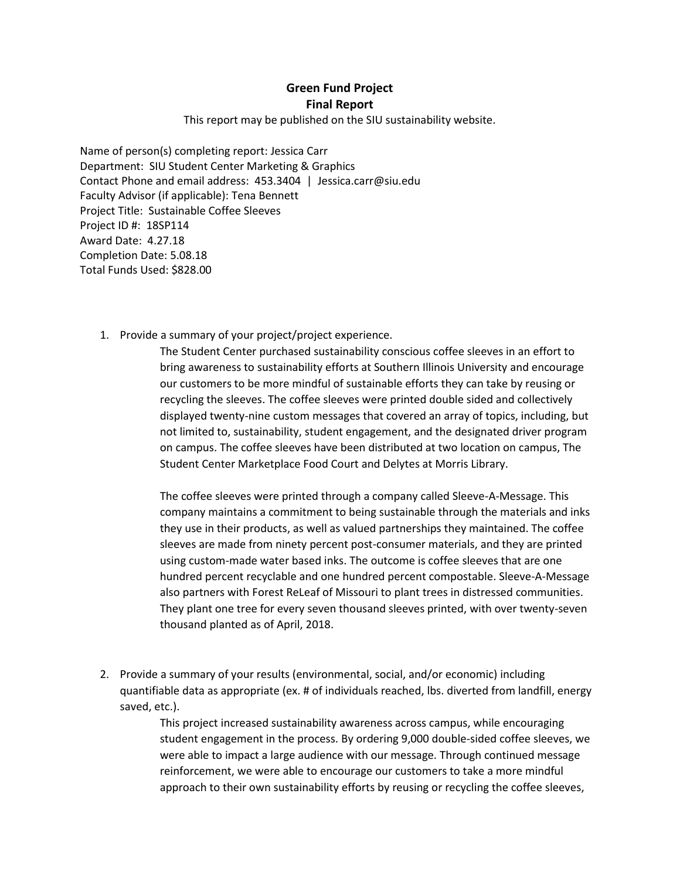## **Green Fund Project Final Report**

This report may be published on the SIU sustainability website.

Name of person(s) completing report: Jessica Carr Department: SIU Student Center Marketing & Graphics Contact Phone and email address: 453.3404 | Jessica.carr@siu.edu Faculty Advisor (if applicable): Tena Bennett Project Title: Sustainable Coffee Sleeves Project ID #: 18SP114 Award Date: 4.27.18 Completion Date: 5.08.18 Total Funds Used: \$828.00

1. Provide a summary of your project/project experience.

The Student Center purchased sustainability conscious coffee sleeves in an effort to bring awareness to sustainability efforts at Southern Illinois University and encourage our customers to be more mindful of sustainable efforts they can take by reusing or recycling the sleeves. The coffee sleeves were printed double sided and collectively displayed twenty-nine custom messages that covered an array of topics, including, but not limited to, sustainability, student engagement, and the designated driver program on campus. The coffee sleeves have been distributed at two location on campus, The Student Center Marketplace Food Court and Delytes at Morris Library.

The coffee sleeves were printed through a company called Sleeve-A-Message. This company maintains a commitment to being sustainable through the materials and inks they use in their products, as well as valued partnerships they maintained. The coffee sleeves are made from ninety percent post-consumer materials, and they are printed using custom-made water based inks. The outcome is coffee sleeves that are one hundred percent recyclable and one hundred percent compostable. Sleeve-A-Message also partners with Forest ReLeaf of Missouri to plant trees in distressed communities. They plant one tree for every seven thousand sleeves printed, with over twenty-seven thousand planted as of April, 2018.

2. Provide a summary of your results (environmental, social, and/or economic) including quantifiable data as appropriate (ex. # of individuals reached, lbs. diverted from landfill, energy saved, etc.).

> This project increased sustainability awareness across campus, while encouraging student engagement in the process. By ordering 9,000 double-sided coffee sleeves, we were able to impact a large audience with our message. Through continued message reinforcement, we were able to encourage our customers to take a more mindful approach to their own sustainability efforts by reusing or recycling the coffee sleeves,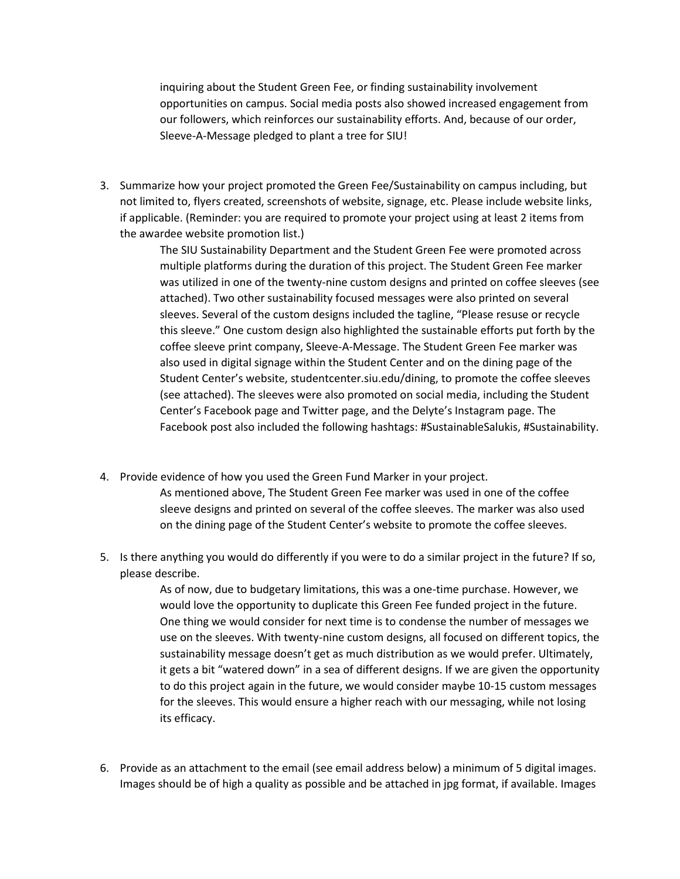inquiring about the Student Green Fee, or finding sustainability involvement opportunities on campus. Social media posts also showed increased engagement from our followers, which reinforces our sustainability efforts. And, because of our order, Sleeve-A-Message pledged to plant a tree for SIU!

3. Summarize how your project promoted the Green Fee/Sustainability on campus including, but not limited to, flyers created, screenshots of website, signage, etc. Please include website links, if applicable. (Reminder: you are required to promote your project using at least 2 items from the awardee website promotion list.)

> The SIU Sustainability Department and the Student Green Fee were promoted across multiple platforms during the duration of this project. The Student Green Fee marker was utilized in one of the twenty-nine custom designs and printed on coffee sleeves (see attached). Two other sustainability focused messages were also printed on several sleeves. Several of the custom designs included the tagline, "Please resuse or recycle this sleeve." One custom design also highlighted the sustainable efforts put forth by the coffee sleeve print company, Sleeve-A-Message. The Student Green Fee marker was also used in digital signage within the Student Center and on the dining page of the Student Center's website, studentcenter.siu.edu/dining, to promote the coffee sleeves (see attached). The sleeves were also promoted on social media, including the Student Center's Facebook page and Twitter page, and the Delyte's Instagram page. The Facebook post also included the following hashtags: #SustainableSalukis, #Sustainability.

- 4. Provide evidence of how you used the Green Fund Marker in your project. As mentioned above, The Student Green Fee marker was used in one of the coffee sleeve designs and printed on several of the coffee sleeves. The marker was also used
- 5. Is there anything you would do differently if you were to do a similar project in the future? If so, please describe.

on the dining page of the Student Center's website to promote the coffee sleeves.

As of now, due to budgetary limitations, this was a one-time purchase. However, we would love the opportunity to duplicate this Green Fee funded project in the future. One thing we would consider for next time is to condense the number of messages we use on the sleeves. With twenty-nine custom designs, all focused on different topics, the sustainability message doesn't get as much distribution as we would prefer. Ultimately, it gets a bit "watered down" in a sea of different designs. If we are given the opportunity to do this project again in the future, we would consider maybe 10-15 custom messages for the sleeves. This would ensure a higher reach with our messaging, while not losing its efficacy.

6. Provide as an attachment to the email (see email address below) a minimum of 5 digital images. Images should be of high a quality as possible and be attached in jpg format, if available. Images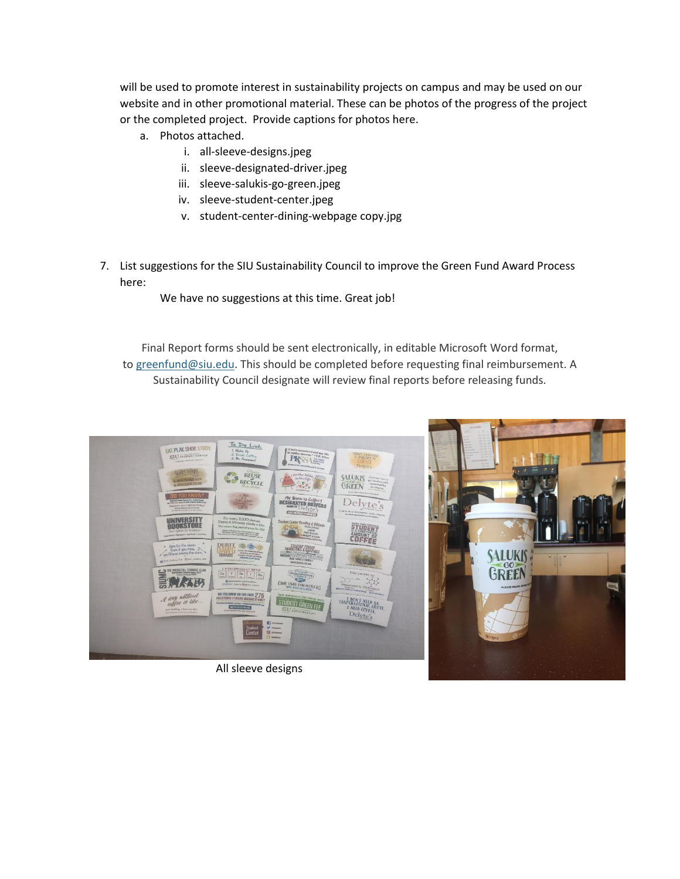will be used to promote interest in sustainability projects on campus and may be used on our website and in other promotional material. These can be photos of the progress of the project or the completed project. Provide captions for photos here.

- a. Photos attached.
	- i. all-sleeve-designs.jpeg
	- ii. sleeve-designated-driver.jpeg
	- iii. sleeve-salukis-go-green.jpeg
	- iv. sleeve-student-center.jpeg
	- v. student-center-dining-webpage copy.jpg
- 7. List suggestions for the SIU Sustainability Council to improve the Green Fund Award Process here:

We have no suggestions at this time. Great job!

Final Report forms should be sent electronically, in editable Microsoft Word format, to [greenfund@siu.edu.](mailto:greenfund@siu.edu) This should be completed before requesting final reimbursement. A Sustainability Council designate will review final reports before releasing funds.



All sleeve designs